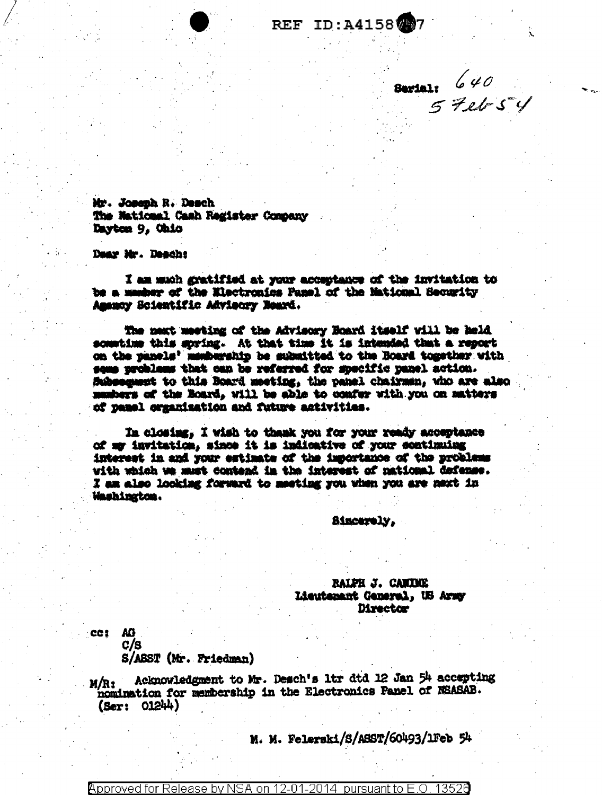## **REF ID: A4158 777**

**Barials** 640<br>5 Feb 54

Mr. Joseph R. Desch The National Cash Register Company Dayton 9. Ohio

Dear Mr. Deach:

I am much gratified at your acceptance of the invitation to be a manher of the Electronics Panel of the National Security Amency Scientific Advisory Beard.

The next meeting of the Advisory Board itself will be held sometime this soring. At that time it is intended that a report on the panels' membership be submitted to the Board together with seme problems that can be referred for specific panel action. Subsequent to this Board meeting, the panel chairman, who are also mashers of the Board, will be able to confer with you on matters of pamel organization and future activities.

In closing, I wish to thank you for your ready acceptance of my invitation, since it is indicative of your continuing interest in and your estimate of the importance of the problems with which we must contend in the interest of national defense. I am also looking forward to meeting you when you are next in Washington.

Sincerely.

RAIPH J. CANIDEE Lieutenant General, US Army **Director** 

CC1 AG  $C/B$ 

S/ABST (Mr. Friedman)

Acknowledgment to Mr. Desch's 1tr dtd 12 Jan 54 accepting M/R: nomination for membership in the Electronics Panel of NSASAB.  $(Ser: 01244)$ 

M. M. Felerski/S/ASST/60493/1Feb 54

Approved for Release by NSA on 12-01-2014 pursuant to E.O. 13526